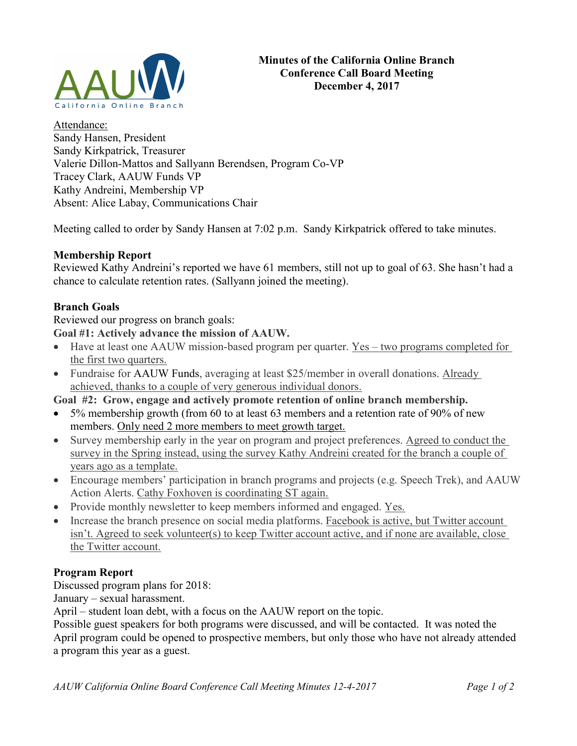

Attendance: Sandy Hansen, President Sandy Kirkpatrick, Treasurer Valerie Dillon-Mattos and Sallyann Berendsen, Program Co-VP Tracey Clark, AAUW Funds VP Kathy Andreini, Membership VP Absent: Alice Labay, Communications Chair

Meeting called to order by Sandy Hansen at 7:02 p.m. Sandy Kirkpatrick offered to take minutes.

## Membership Report

Reviewed Kathy Andreini's reported we have 61 members, still not up to goal of 63. She hasn't had a chance to calculate retention rates. (Sallyann joined the meeting).

## Branch Goals

Reviewed our progress on branch goals:

Goal #1: Actively advance the mission of AAUW.

- Have at least one AAUW mission-based program per quarter. Yes two programs completed for the first two quarters.
- Fundraise for AAUW Funds, averaging at least \$25/member in overall donations. Already achieved, thanks to a couple of very generous individual donors.

Goal #2: Grow, engage and actively promote retention of online branch membership.

- 5% membership growth (from 60 to at least 63 members and a retention rate of 90% of new members. Only need 2 more members to meet growth target.
- Survey membership early in the year on program and project preferences. Agreed to conduct the survey in the Spring instead, using the survey Kathy Andreini created for the branch a couple of years ago as a template.
- Encourage members' participation in branch programs and projects (e.g. Speech Trek), and AAUW Action Alerts. Cathy Foxhoven is coordinating ST again.
- Provide monthly newsletter to keep members informed and engaged. Yes.
- Increase the branch presence on social media platforms. Facebook is active, but Twitter account isn't. Agreed to seek volunteer(s) to keep Twitter account active, and if none are available, close the Twitter account.

## Program Report

Discussed program plans for 2018:

January – sexual harassment.

April – student loan debt, with a focus on the AAUW report on the topic.

Possible guest speakers for both programs were discussed, and will be contacted. It was noted the April program could be opened to prospective members, but only those who have not already attended a program this year as a guest.